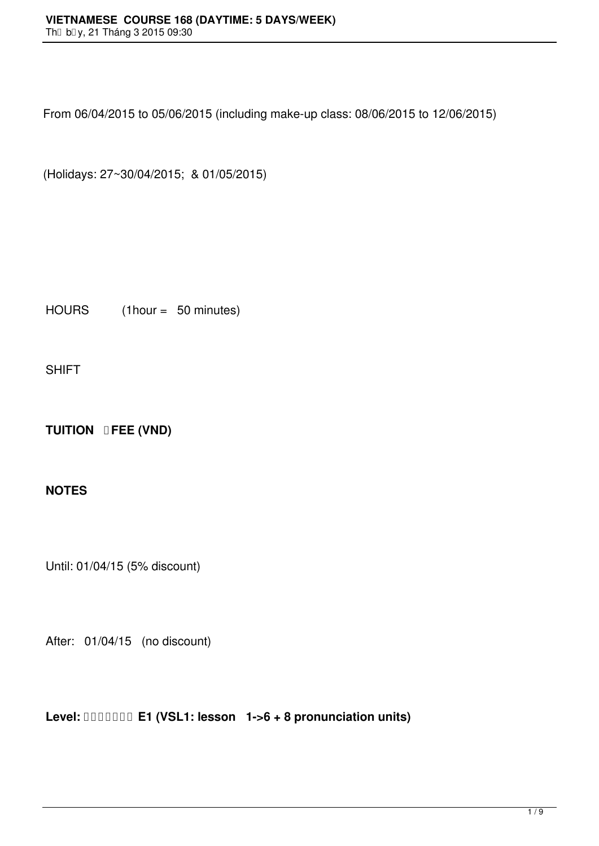From 06/04/2015 to 05/06/2015 (including make-up class: 08/06/2015 to 12/06/2015)

(Holidays: 27~30/04/2015; & 01/05/2015)

HOURS (1hour = 50 minutes)

SHIFT

**TUITION <b>DFEE** (VND)

## **NOTES**

Until: 01/04/15 (5% discount)

After: 01/04/15 (no discount)

**Level: E1 (VSL1: lesson 1->6 + 8 pronunciation units)**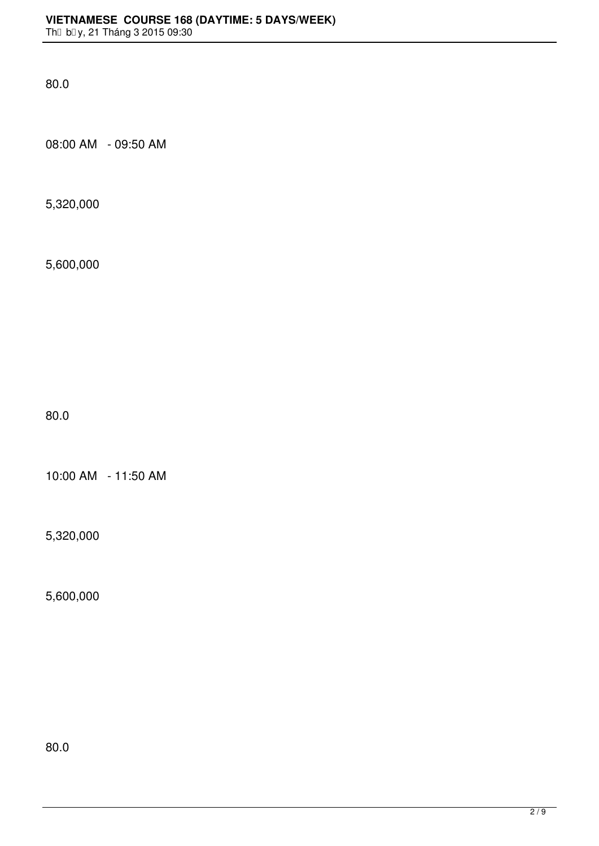80.0

08:00 AM - 09:50 AM

5,320,000

5,600,000

80.0

10:00 AM - 11:50 AM

5,320,000

5,600,000

80.0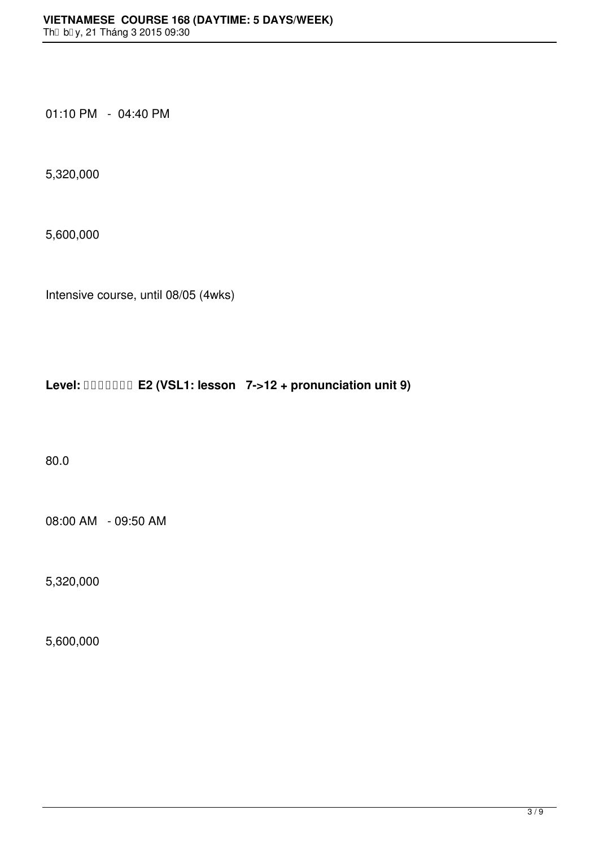01:10 PM - 04:40 PM

5,320,000

5,600,000

Intensive course, until 08/05 (4wks)

**Level: E2 (VSL1: lesson 7->12 + pronunciation unit 9)**

80.0

08:00 AM - 09:50 AM

5,320,000

5,600,000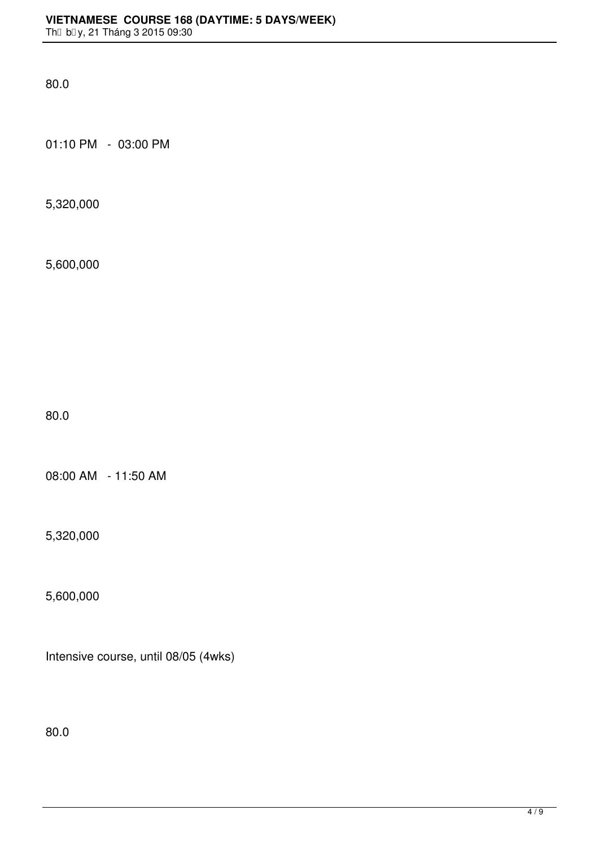80.0

01:10 PM - 03:00 PM

5,320,000

5,600,000

80.0

08:00 AM - 11:50 AM

5,320,000

5,600,000

Intensive course, until 08/05 (4wks)

80.0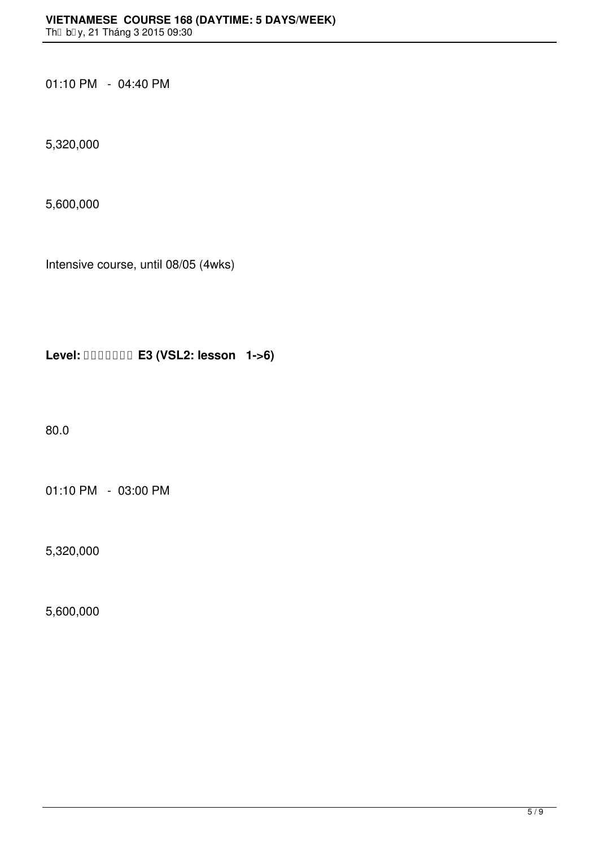01:10 PM - 04:40 PM

5,320,000

5,600,000

Intensive course, until 08/05 (4wks)

**Level: E3 (VSL2: lesson 1->6)**

80.0

01:10 PM - 03:00 PM

5,320,000

5,600,000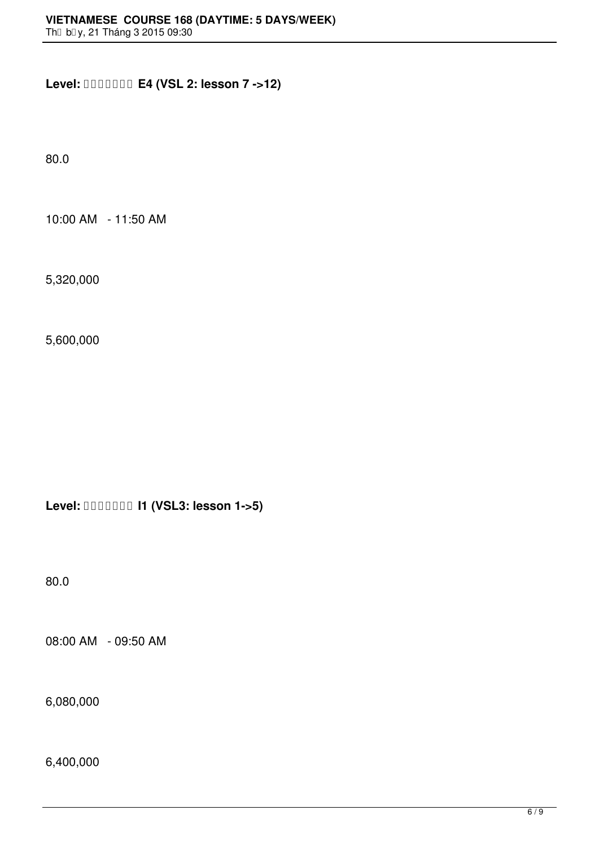**Level: E4 (VSL 2: lesson 7 ->12)**

80.0

10:00 AM - 11:50 AM

5,320,000

5,600,000

**Level: I1 (VSL3: lesson 1->5)**

80.0

08:00 AM - 09:50 AM

6,080,000

6,400,000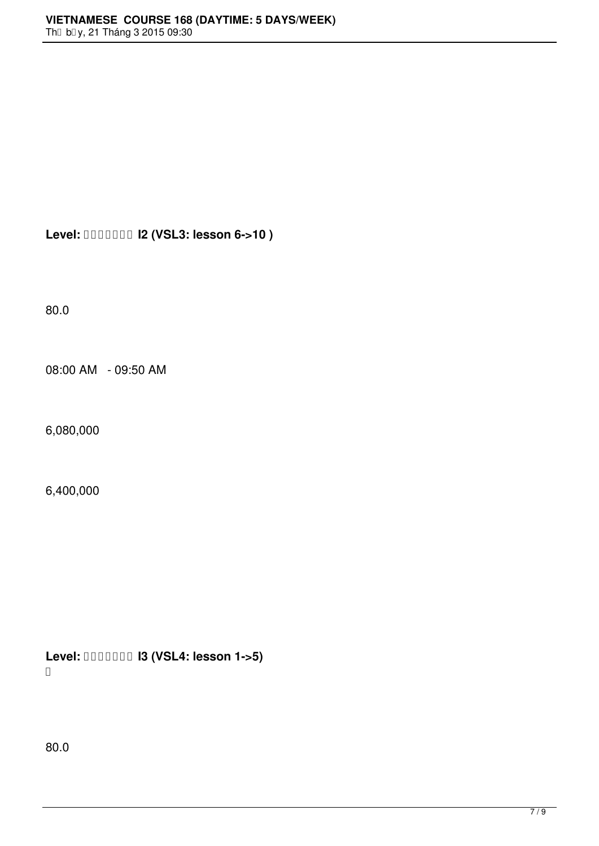**Level: I2 (VSL3: lesson 6->10 )**

80.0

08:00 AM - 09:50 AM

6,080,000

6,400,000

**Level: I3 (VSL4: lesson 1->5)** 

80.0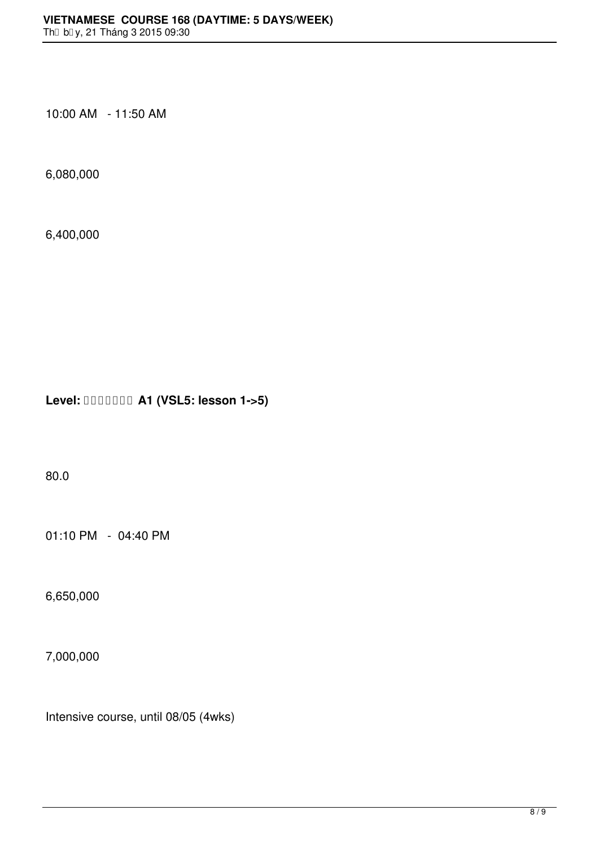10:00 AM - 11:50 AM

6,080,000

6,400,000

**Level: A1 (VSL5: lesson 1->5)**

80.0

01:10 PM - 04:40 PM

6,650,000

7,000,000

Intensive course, until 08/05 (4wks)